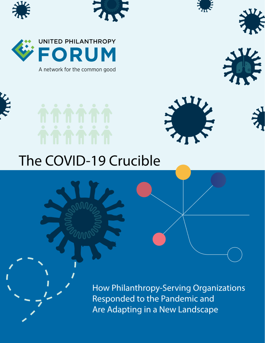





A network for the common good









# The COVID-19 Crucible

How Philanthropy-Serving Organizations Responded to the Pandemic and Are Adapting in a New Landscape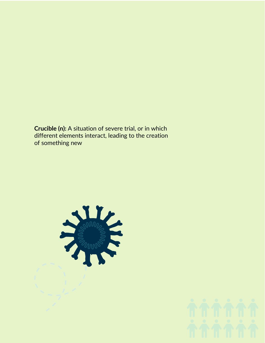**Crucible (n):** A situation of severe trial, or in which different elements interact, leading to the creation of something new



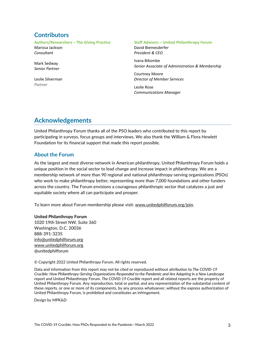### **Contributors**

**Authors/Researchers – The Giving Practice** Marissa Jackson *Consultant*

Mark Sedway *Senior Partner*

Leslie Silverman *Partner*

### **Staff Advisors – United Philanthropy Forum**

David Biemesderfer *President & CEO*

Ivana Bikombe *Senior Associate of Administration & Membership*

Courtney Moore *Director of Member Services*

Leslie Rose *Communications Manager*

### **Acknowledgements**

United Philanthropy Forum thanks all of the PSO leaders who contributed to this report by participating in surveys, focus groups and interviews. We also thank the William & Flora Hewlett Foundation for its financial support that made this report possible.

### **About the Forum**

As the largest and most diverse network in American philanthropy, United Philanthropy Forum holds a unique position in the social sector to lead change and increase impact in philanthropy. We are a membership network of more than 90 regional and national philanthropy-serving organizations (PSOs) who work to make philanthropy better, representing more than 7,000 foundations and other funders across the country. The Forum envisions a courageous philanthropic sector that catalyzes a just and equitable society where all can participate and prosper.

To learn more about Forum membership please visit: [www.unitedphilforum.org/join.](http://www.unitedphilforum.org/join)

### **United Philanthropy Forum**

1020 19th Street NW, Suite 360 Washington, D.C. 20036 888-391-3235 [info@unitedphilforum.org](mailto:info@unitedphilforum.org?subject=2017%20Forum%20Compensation,%20Benefits%20&%20Key%20Metrics%20Survey) [www.unitedphilforum.org](http://www.unitedphilforum.org/) @unitedphilforum

© Copyright 2022 United Philanthropy Forum. All rights reserved.

Data and information from this report may not be cited or reproduced without attribution to *The COVID-19 Crucible: How Philanthropy-Serving Organizations Responded to the Pandemic and Are Adapting in a New Landscape* report and United Philanthropy Forum. *The COVID-19 Crucible* report and all related reports are the property of United Philanthropy Forum. Any reproduction, total or partial, and any representation of the substantial content of these reports, or one or more of its components, by any process whatsoever, without the express authorization of United Philanthropy Forum, is prohibited and constitutes an infringement.

Design by MPK&D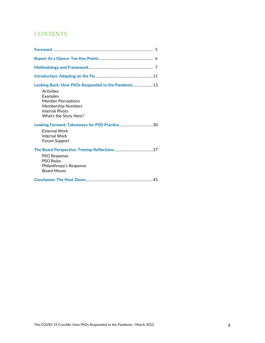### **CONTENTS**

| Looking Back: How PSOs Responded to the Pandemic 13<br><b>Activities</b><br><b>Examples</b><br><b>Member Perceptions</b><br><b>Membership Numbers</b><br><b>Internal Pivots</b><br>What's the Story Here? |
|-----------------------------------------------------------------------------------------------------------------------------------------------------------------------------------------------------------|
| <b>External Work</b><br><b>Internal Work</b><br>Forum Support                                                                                                                                             |
| <b>PSO Response</b><br><b>PSO Roles</b><br>Philanthropy's Response<br><b>Board Moves</b>                                                                                                                  |
|                                                                                                                                                                                                           |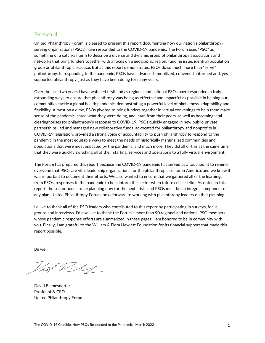### Foreword

United Philanthropy Forum is pleased to present this report documenting how our nation's philanthropyserving organizations (PSOs) have responded to the COVID-19 pandemic. The Forum uses "PSO" as something of a catch-all term to describe a diverse and dynamic group of philanthropy associations and networks that bring funders together with a focus on a geographic region, funding issue, identity/population group or philanthropic practice. But as this report demonstrates, PSOs do so much more than "serve" philanthropy. In responding to the pandemic, PSOs have advanced , mobilized, convened, informed and, yes, supported philanthropy, just as they have been doing for many years.

Over the past two years I have watched firsthand as regional and national PSOs have responded in truly astounding ways to ensure that philanthropy was being as effective and impactful as possible in helping our communities tackle a global health pandemic, demonstrating a powerful level of nimbleness, adaptability and flexibility. Almost on a dime, PSOs pivoted to bring funders together in virtual convenings to help them make sense of the pandemic, share what they were doing, and learn from their peers, as well as becoming vital clearinghouses for philanthropy's response to COVID-19. PSOs quickly engaged in new public-private partnerships, led and managed new collaborative funds, advocated for philanthropy and nonprofits in COVID-19 legislation, provided a strong voice of accountability to push philanthropy to respond to the pandemic in the most equitable ways to meet the needs of historically marginalized communities and populations that were most impacted by the pandemic, and much more. They did all of this at the same time that they were quickly switching all of their staffing, services and operations to a fully virtual environment.

The Forum has prepared this report because the COVID-19 pandemic has served as a touchpoint to remind everyone that PSOs are vital leadership organizations for the philanthropic sector in America, and we knew it was important to document their efforts. We also wanted to ensure that we gathered all of the learnings from PSOs' responses to the pandemic to help inform the sector when future crises strike. As noted in this report, the sector needs to be planning now for the next crisis, and PSOs must be an integral component of any plan. United Philanthropy Forum looks forward to working with philanthropy leaders on that planning.

I'd like to thank all of the PSO leaders who contributed to this report by participating in surveys, focus groups and interviews. I'd also like to thank the Forum's more than 90 regional and national PSO members whose pandemic response efforts are summarized in these pages; I am honored to be in community with you. Finally, I am grateful to the William & Flora Hewlett Foundation for its financial support that made this report possible.

Be well,

hill D. U

David Biemesderfer President & CEO United Philanthropy Forum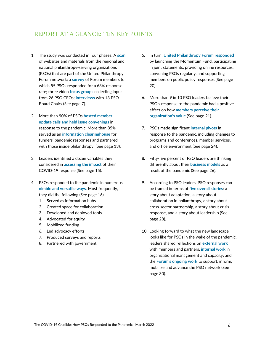### REPORT AT A GLANCE: TEN KEY POINTS

- 1. The study was conducted in four phases: A **scan** of websites and materials from the regional and national philanthropy-serving organizations (PSOs) that are part of the United Philanthropy Forum network; a **survey** of Forum members to which 55 PSOs responded for a 63% response rate; three video **focus groups** collecting input from 26 PSO CEOs; **interviews** with 13 PSO Board Chairs (See page 7).
- 2. More than 90% of PSOs **hosted member update calls and held issue convenings** in response to the pandemic. More than 85% served as an **information clearinghouse** for funders' pandemic responses and partnered with those inside philanthropy. (See page 13).
- 3. Leaders identified a dozen variables they considered in **assessing the impact** of their COVID-19 response (See page 15).
- 4. PSOs responded to the pandemic in numerous **nimble and versatile ways**. Most frequently, they did the following (See page 16).
	- 1. Served as information hubs
	- 2. Created space for collaboration
	- 3. Developed and deployed tools
	- 4. Advocated for equity
	- 5. Mobilized funding
	- 6. Led advocacy efforts
	- 7. Produced surveys and reports
	- 8. Partnered with government
- 5. In turn, **United Philanthropy Forum responded** by launching the Momentum Fund, participating in joint statements, providing online resources, convening PSOs regularly, and supporting members on public policy responses (See page 20).
- 6. More than 9 in 10 PSO leaders believe their PSO's response to the pandemic had a positive effect on how **members perceive their organization's value** (See page 21).
- 7. PSOs made significant **internal pivots** in response to the pandemic, including changes to programs and conferences, member services, and office environment (See page 24).
- 8. Fifty-five percent of PSO leaders are thinking differently about their **business models** as a result of the pandemic (See page 26).
- 9. According to PSO leaders, PSO responses can be framed in terms of **five overall stories**: a story about adaptation, a story about collaboration in philanthropy, a story about cross-sector partnership, a story about crisis response, and a story about leadership (See page 28).
- 10. Looking forward to what the new landscape looks like for PSOs in the wake of the pandemic, leaders shared reflections on **external work** with members and partners, **internal work** in organizational management and capacity; and the **Forum's ongoing work** to support, inform, mobilize and advance the PSO network (See page 30).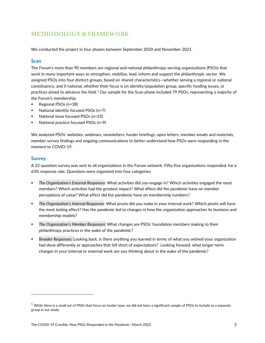### METHODOLOGY & FRAMEWORK

We conducted the project in four phases between September 2020 and November 2021.

### **Scan**

The Forum's more than 90 members are regional and national philanthropy-serving organizations (PSOs) that work in many important ways to strengthen, mobilize, lead, inform and support the philanthropic sector. We assigned PSOs into four distinct groups, based on shared characteristics—whether serving a regional or national constituency, and if national, whether their focus is on identity/population group, specific funding issues, or practices aimed to advance the field.<sup>[1](#page-6-0)</sup> Our sample for the Scan phase included 79 PSOs, representing a majority of the Forum's membership

- **Regional PSOs (n=38)**
- National identity focused PSOs (n=7)
- National issue focused PSOs (n=25)
- National practice focused PSOs (n=9)

We analyzed PSOs' websites, webinars, newsletters, funder briefings, open letters, member emails and materials, member survey findings and ongoing communications to better understand how PSOs were responding in the moment to COVID-19.

### **Survey**

A 22-question survey was sent to all organizations in the Forum network. Fifty-five organizations responded, for a 63% response rate. Questions were organized into four categories:

- *The Organization's External Responses*: What activities did you engage in? Which activities engaged the most members? Which activities had the greatest impact? What effect did the pandemic have on member perceptions of value? What effect did the pandemic have on membership numbers?
- *The Organization's Internal Responses*: What pivots did you make in your internal work? Which pivots will have the most lasting effect? Has the pandemic led to changes in how the organization approaches its business and membership models?
- *The Organization's Member Responses:* What changes are PSOs' foundation members making to their philanthropy practices in the wake of the pandemic?
- *Broader Responses:* Looking back, is there anything you learned in terms of what you wished your organization had done differently or approaches that fell short of expectations? Looking forward, what longer-term changes in your internal or external work are you thinking about in the wake of the pandemic?

<span id="page-6-0"></span> $1$  While there is a small set of PSOs that focus on funder type, we did not have a significant sample of PSOs to include as a separate group in our study.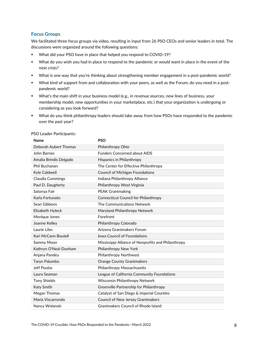### **Focus Groups**

We facilitated three focus groups via video, resulting in input from 26 PSO CEOs and senior leaders in total. The discussions were organized around the following questions:

- What did your PSO have in place that helped you respond to COVID-19?
- What do you wish you had in place to respond to the pandemic or would want in place in the event of the next crisis?
- What is one way that you're thinking about strengthening member engagement in a post-pandemic world?
- What kind of support from and collaboration with your peers, as well as the Forum, do you need in a postpandemic world?
- What's the main shift in your business model (e.g., in revenue sources, new lines of business, your membership model, new opportunities in your marketplace, etc.) that your organization is undergoing or considering as you look forward?
- What do you think philanthropy leaders should take away from how PSOs have responded to the pandemic over the past year?

| Name                   | <b>PSO</b>                                          |
|------------------------|-----------------------------------------------------|
| Deborah Aubert Thomas  | Philanthropy Ohio                                   |
| John Barnes            | <b>Funders Concerned about AIDS</b>                 |
| Amalia Brindis Delgado | <b>Hispanics in Philanthropy</b>                    |
| Phil Buchanan          | The Center for Effective Philanthropy               |
| Kyle Caldwell          | <b>Council of Michigan Foundations</b>              |
| Claudia Cummings       | Indiana Philanthropy Alliance                       |
| Paul D. Daugherty      | Philanthropy West Virginia                          |
| Satonya Fair           | <b>PEAK Grantmaking</b>                             |
| Karla Fortunato        | <b>Connecticut Council for Philanthropy</b>         |
| Sean Gibbons           | The Communications Network                          |
| Elisabeth Hyleck       | Maryland Philanthropy Network                       |
| Monique Jones          | Forefront                                           |
| Joanne Kelley          | Philanthropy Colorado                               |
| Laurie Liles           | Arizona Grantmakers Forum                           |
| Kari McCann Boutell    | <b>Iowa Council of Foundations</b>                  |
| Sammy Moon             | Mississippi Alliance of Nonprofits and Philanthropy |
| Kathryn O'Neal-Dunham  | Philanthropy New York                               |
| Anjana Pandey          | Philanthropy Northwest                              |
| Taryn Palumbo          | <b>Orange County Grantmakers</b>                    |
| Jeff Poulos            | Philanthropy Massachusetts                          |
| Laura Seaman           | League of California Community Foundations          |
| <b>Tony Shields</b>    | Wisconsin Philanthropy Network                      |
| Katy Smith             | Greenville Partnership for Philanthropy             |
| Megan Thomas           | Catalyst of San Diego & Imperial Counties           |
| Maria Vizcarrondo      | Council of New Jersey Grantmakers                   |
| Nancy Wolanski         | <b>Grantmakers Council of Rhode Island</b>          |

PSO Leader Participants: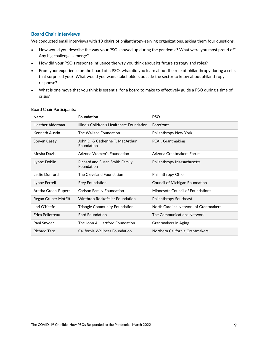### **Board Chair Interviews**

We conducted email interviews with 13 chairs of philanthropy-serving organizations, asking them four questions:

- How would you describe the way your PSO showed up during the pandemic? What were you most proud of? Any big challenges emerge?
- How did your PSO's response influence the way you think about its future strategy and roles?
- From your experience on the board of a PSO, what did you learn about the role of philanthropy during a crisis that surprised you? What would you want stakeholders outside the sector to know about philanthropy's response?
- What is one move that you think is essential for a board to make to effectively guide a PSO during a time of crisis?

| Name                 | <b>Foundation</b>                              | <b>PSO</b>                            |
|----------------------|------------------------------------------------|---------------------------------------|
| Heather Alderman     | Illinois Children's Healthcare Foundation      | Forefront                             |
| Kenneth Austin       | The Wallace Foundation                         | Philanthropy New York                 |
| <b>Steven Casey</b>  | John D. & Catherine T. MacArthur<br>Foundation | <b>PEAK Grantmaking</b>               |
| Mesha Davis          | Arizona Women's Foundation                     | Arizona Grantmakers Forum             |
| Lynne Doblin         | Richard and Susan Smith Family<br>Foundation   | Philanthropy Massachusetts            |
| Leslie Dunford       | The Cleveland Foundation                       | Philanthropy Ohio                     |
| Lynne Ferrell        | <b>Frey Foundation</b>                         | Council of Michigan Foundation        |
| Aretha Green-Rupert  | <b>Carlson Family Foundation</b>               | Minnesota Council of Foundations      |
| Regan Gruber Moffitt | Winthrop Rockefeller Foundation                | <b>Philanthropy Southeast</b>         |
| Lori O'Keefe         | <b>Triangle Community Foundation</b>           | North Carolina Network of Grantmakers |
| Erica Pelletreau     | <b>Ford Foundation</b>                         | The Communications Network            |
| Rani Snyder          | The John A. Hartford Foundation                | Grantmakers in Aging                  |
| <b>Richard Tate</b>  | California Wellness Foundation                 | Northern California Grantmakers       |

#### Board Chair Participants: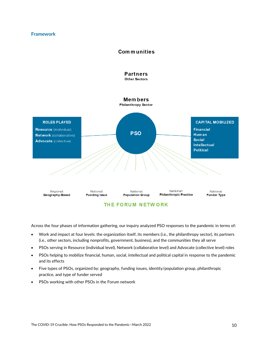### **Framework**





Across the four phases of information gathering, our inquiry analyzed PSO responses to the pandemic in terms of:

- Work and impact at four levels: the organization itself, its members (i.e., the philanthropy sector), its partners (i.e., other sectors, including nonprofits, government, business), and the communities they all serve
- PSOs serving in Resource (individual level), Network (collaborative level) and Advocate (collective level) roles
- PSOs helping to mobilize financial, human, social, intellectual and political capital in response to the pandemic and its effects
- Five types of PSOs, organized by: geography, funding issues, identity/population group, philanthropic practice, and type of funder served
- PSOs working with other PSOs in the Forum network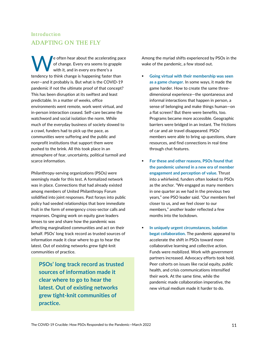Introduction

W

ADAPTING ON THE FLY

predictable. In a matter of weeks, office

a crawl, funders had to pick up the pace, as communities were suffering and the public and nonprofit institutions that support them were pushed to the brink. All this took place in an

scarce information.

e often hear about the accelerating pace of change. Every era seems to grapple with it, and in every era there's a

tendency to think change is happening faster than ever—and it probably is. But what is the COVID-19 pandemic if not the ultimate proof of that concept? This has been disruption at its swiftest and least

environments went remote, work went virtual, and in-person interaction ceased. Self-care became the watchword and social isolation the norm. While much of the everyday business of society slowed to

atmosphere of fear, uncertainty, political turmoil and

Philanthropy-serving organizations (PSOs) were seemingly made for this test. A formalized network was in place. Connections that had already existed among members of United Philanthropy Forum solidified into joint responses. Past forays into public policy had seeded relationships that bore immediate fruit in the form of emergency cross-sector calls and responses. Ongoing work on equity gave leaders lenses to see and share how the pandemic was affecting marginalized communities and act on their

behalf. PSOs' long track record as trusted sources of information made it clear where to go to hear the latest. Out of existing networks grew tight-knit communities of practice.

**PSOs' long track record as trusted sources of information made it clear where to go to hear the latest. Out of existing networks grew tight-knit communities of practice.**

Among the myriad shifts experienced by PSOs in the wake of the pandemic, a few stood out.

- **Going virtual with their membership was seen as a game changer.** In some ways, it made the game harder. How to create the same threedimensional experience—the spontaneous and informal interactions that happen in person, a sense of belonging and make things human—on a flat screen? But there were benefits, too. Programs became more accessible. Geographic barriers were bridged in an instant. The frictions of car and air travel disappeared. PSOs' members were able to bring up questions, share resources, and find connections in real time through chat features.
- **For these and other reasons, PSOs found that the pandemic ushered in a new era of member engagement and perception of value.** Thrust into a whirlwind, funders often looked to PSOs as the anchor. "We engaged as many members in one quarter as we had in the previous two years," one PSO leader said. "Our members feel closer to us, and we feel closer to our members," another leader reflected a few months into the lockdown.
- **In uniquely urgent circumstances, isolation begat collaboration.** The pandemic appeared to accelerate the shift in PSOs toward more collaborative learning and collective action. Funds were mobilized. Work with government partners increased. Advocacy efforts took hold. Peer cohorts on issues like racial equity, public health, and crisis communications intensified their work. At the same time, while the pandemic made collaboration imperative, the new virtual medium made it harder to do.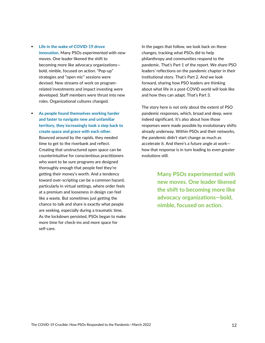- **Life in the wake of COVID-19 drove innovation.** Many PSOs experimented with new moves. One leader likened the shift to becoming more like advocacy organizations bold, nimble, focused on action. "Pop-up" strategies and "open mic" sessions were devised. New streams of work on programrelated investments and impact investing were developed. Staff members were thrust into new roles. Organizational cultures changed.
- **As people found themselves working harder and faster to navigate new and unfamiliar territory, they increasingly took a step back to create space and grace with each other.**  Bounced around by the rapids, they needed time to get to the riverbank and reflect. Creating that unstructured open space can be counterintuitive for conscientious practitioners who want to be sure programs are designed thoroughly enough that people feel they're getting their money's worth. And a tendency toward over-scripting can be a common hazard, particularly in virtual settings, where order feels at a premium and looseness in design can feel like a waste. But sometimes just getting the chance to talk and share is exactly what people are seeking, especially during a traumatic time. As the lockdown persisted, PSOs began to make more time for check-ins and more space for self-care.

In the pages that follow, we look back on these changes, tracking what PSOs did to help philanthropy and communities respond to the pandemic. That's Part 1 of the report. We share PSO leaders' reflections on the pandemic chapter in their institutional story. That's Part 2. And we look forward, sharing how PSO leaders are thinking about what life in a post-COVID world will look like and how they can adapt. That's Part 3.

The story here is not only about the extent of PSO pandemic responses, which, broad and deep, were indeed significant. It's also about how those responses were made possible by evolutionary shifts already underway. Within PSOs and their networks, the pandemic didn't start change as much as accelerate it. And there's a future angle at work how that response is in turn leading to even greater evolutions still.

> **Many PSOs experimented with new moves. One leader likened the shift to becoming more like advocacy organizations—bold, nimble, focused on action.**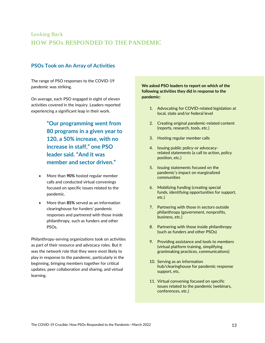### Looking Back HOW PSOs RESPONDED TO THE PANDEMIC

### **PSOs Took on An Array of Activities**

The range of PSO responses to the COVID-19 pandemic was striking.

On average, each PSO engaged in eight of eleven activities covered in the inquiry. Leaders reported experiencing a significant leap in their work.

> **"Our programming went from 80 programs in a given year to 120, a 50% increase, with no increase in staff," one PSO leader said. "And it was member and sector driven."**

- More than **90%** hosted regular member calls and conducted virtual convenings focused on specific issues related to the pandemic.
- More than **85%** served as an information clearinghouse for funders' pandemic responses and partnered with those inside philanthropy, such as funders and other PSOs.

Philanthropy-serving organizations took on activities as part of their resource and advocacy roles. But it was the network role that they were most likely to play in response to the pandemic, particularly in the beginning, bringing members together for critical updates, peer collaboration and sharing, and virtual learning.

### **We asked PSO leaders to report on which of the following activities they did in response to the pandemic:**

- 1. Advocating for COVID-related legislation at local, state and/or federal level
- 2. Creating original pandemic-related content (reports, research, tools, etc.)
- 3. Hosting regular member calls
- 4. Issuing public policy-or advocacyrelated statements (a call to action, policy position, etc.)
- 5. Issuing statements focused on the pandemic's impact on marginalized communities
- 6. Mobilizing funding (creating special funds, identifying opportunities for support, etc.)
- 7. Partnering with those in sectors outside philanthropy (government, nonprofits, business, etc.)
- 8. Partnering with those inside philanthropy (such as funders and other PSOs)
- 9. Providing assistance and tools to members (virtual platform training, simplifying grantmaking practices, communications)
- 10. Serving as an information hub/clearinghouse for pandemic response support, etc.
- 11. Virtual convening focused on specific issues related to the pandemic (webinars, conferences, etc.)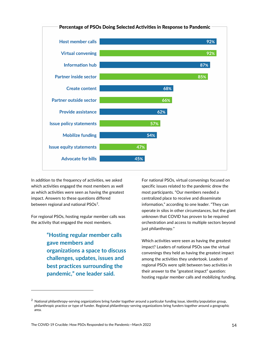

In addition to the frequency of activities, we asked which activities engaged the most members as well as which activities were seen as having the greatest impact. Answers to these questions differed between regional and national PSOs<sup>2</sup>.

For regional PSOs, hosting regular member calls was the activity that engaged the most members.

> **"Hosting regular member calls gave members and organizations a space to discuss challenges, updates, issues and best practices surrounding the pandemic," one leader said.**

For national PSOs, virtual convenings focused on specific issues related to the pandemic drew the most participants. "Our members needed a centralized place to receive and disseminate information," according to one leader. "They can operate in silos in other circumstances, but the giant unknown that COVID has proven to be required orchestration and access to multiple sectors beyond just philanthropy."

Which activities were seen as having the greatest impact? Leaders of national PSOs saw the virtual convenings they held as having the greatest impact among the activities they undertook. Leaders of regional PSOs were split between two activities in their answer to the "greatest impact" question: hosting regular member calls and mobilizing funding.

<span id="page-13-0"></span><sup>&</sup>lt;sup>2</sup> National philanthropy-serving organizations bring funder together around a particular funding issue, identity/population group, philanthropic practice or type of funder. Regional philanthropy-serving organizations bring funders together around a geographic area.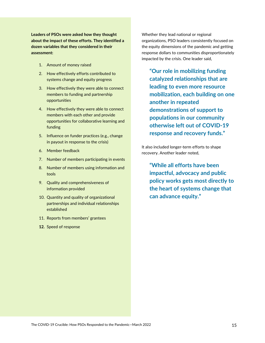**Leaders of PSOs were asked how they thought about the impact of these efforts. They identified a dozen variables that they considered in their assessment:**

- 1. Amount of money raised
- 2. How effectively efforts contributed to systems change and equity progress
- 3. How effectively they were able to connect members to funding and partnership opportunities
- 4. How effectively they were able to connect members with each other and provide opportunities for collaborative learning and funding
- 5. Influence on funder practices (e.g., change in payout in response to the crisis)
- 6. Member feedback
- 7. Number of members participating in events
- 8. Number of members using information and tools
- 9. Quality and comprehensiveness of information provided
- 10. Quantity and quality of organizational partnerships and individual relationships established
- 11. Reports from members' grantees
- **12.** Speed of response

Whether they lead national or regional organizations, PSO leaders consistently focused on the equity dimensions of the pandemic and getting response dollars to communities disproportionately impacted by the crisis. One leader said,

**"Our role in mobilizing funding catalyzed relationships that are leading to even more resource mobilization, each building on one another in repeated demonstrations of support to populations in our community otherwise left out of COVID-19 response and recovery funds."**

It also included longer-term efforts to shape recovery. Another leader noted,

**"While all efforts have been impactful, advocacy and public policy works gets most directly to the heart of systems change that can advance equity."**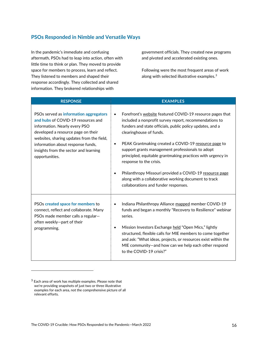### **PSOs Responded in Nimble and Versatile Ways**

In the pandemic's immediate and confusing aftermath, PSOs had to leap into action, often with little time to think or plan. They moved to provide space for members to process, learn and reflect. They listened to members and shaped their response accordingly. They collected and shared information. They brokered relationships with

government officials. They created new programs and pivoted and accelerated existing ones.

Following were the most frequent areas of work along with selected illustrative examples. [3](#page-15-0)

| <b>RESPONSE</b>                                                                                                                                                                                                                                                                                  | <b>EXAMPLES</b>                                                                                                                                                                                                                                                                                                                                                                                                                                                                                                                                                                           |
|--------------------------------------------------------------------------------------------------------------------------------------------------------------------------------------------------------------------------------------------------------------------------------------------------|-------------------------------------------------------------------------------------------------------------------------------------------------------------------------------------------------------------------------------------------------------------------------------------------------------------------------------------------------------------------------------------------------------------------------------------------------------------------------------------------------------------------------------------------------------------------------------------------|
| PSOs served as information aggregators<br>and hubs of COVID-19 resources and<br>information. Nearly every PSO<br>developed a resource page on their<br>websites, sharing updates from the field,<br>information about response funds,<br>insights from the sector and learning<br>opportunities. | Forefront's website featured COVID-19 resource pages that<br>included a nonprofit survey report, recommendations to<br>funders and state officials, public policy updates, and a<br>clearinghouse of funds.<br>PEAK Grantmaking created a COVID-19 resource page to<br>$\bullet$<br>support grants management professionals to adopt<br>principled, equitable grantmaking practices with urgency in<br>response to the crisis.<br>Philanthropy Missouri provided a COVID-19 resource page<br>along with a collaborative working document to track<br>collaborations and funder responses. |
| PSOs created space for members to<br>connect, reflect and collaborate. Many<br>PSOs made member calls a regular-<br>often weekly-part of their<br>programming.                                                                                                                                   | Indiana Philanthropy Alliance mapped member COVID-19<br>funds and began a monthly "Recovery to Resilience" webinar<br>series.<br>Mission Investors Exchange held "Open Mics," lightly<br>$\bullet$<br>structured, flexible calls for MIE members to come together<br>and ask: "What ideas, projects, or resources exist within the<br>MIE community-and how can we help each other respond<br>to the COVID-19 crisis?"                                                                                                                                                                    |

<span id="page-15-0"></span> $3$  Each area of work has multiple examples. Please note that we're providing snapshots of just two or three illustrative examples for each area, not the comprehensive picture of all relevant efforts.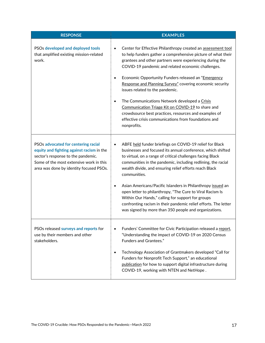| <b>RESPONSE</b>                                                                                                                                                                                              | <b>EXAMPLES</b>                                                                                                                                                                                                                                                                                                                                                                                                                                                                                                                                                                                                                                                                   |
|--------------------------------------------------------------------------------------------------------------------------------------------------------------------------------------------------------------|-----------------------------------------------------------------------------------------------------------------------------------------------------------------------------------------------------------------------------------------------------------------------------------------------------------------------------------------------------------------------------------------------------------------------------------------------------------------------------------------------------------------------------------------------------------------------------------------------------------------------------------------------------------------------------------|
| PSOs developed and deployed tools<br>that amplified existing mission-related<br>work.                                                                                                                        | Center for Effective Philanthropy created an assessment tool<br>$\bullet$<br>to help funders gather a comprehensive picture of what their<br>grantees and other partners were experiencing during the<br>COVID-19 pandemic and related economic challenges.<br>Economic Opportunity Funders released an "Emergency<br>$\bullet$<br>Response and Planning Survey" covering economic security<br>issues related to the pandemic.<br>The Communications Network developed a Crisis<br>$\bullet$<br>Communication Triage Kit on COVID-19 to share and<br>crowdsource best practices, resources and examples of<br>effective crisis communications from foundations and<br>nonprofits. |
| PSOs advocated for centering racial<br>equity and fighting against racism in the<br>sector's response to the pandemic.<br>Some of the most extensive work in this<br>area was done by identity focused PSOs. | ABFE held funder briefings on COVID-19 relief for Black<br>$\bullet$<br>businesses and focused its annual conference, which shifted<br>to virtual, on a range of critical challenges facing Black<br>communities in the pandemic, including redlining, the racial<br>wealth divide, and ensuring relief efforts reach Black<br>communities.<br>Asian Americans/Pacific Islanders in Philanthropy issued an<br>open letter to philanthropy, "The Cure to Viral Racism Is<br>Within Our Hands," calling for support for groups<br>confronting racism in their pandemic relief efforts. The letter<br>was signed by more than 350 people and organizations.                          |
| PSOs released surveys and reports for<br>use by their members and other<br>stakeholders.                                                                                                                     | Funders' Committee for Civic Participation released a report,<br>٠<br>"Understanding the impact of COVID-19 on 2020 Census<br>Funders and Grantees."<br>Technology Association of Grantmakers developed "Call for<br>$\bullet$<br>Funders for Nonprofit Tech Support," an educational<br>publication for how to support digital infrastructure during<br>COVID-19, working with NTEN and NetHope.                                                                                                                                                                                                                                                                                 |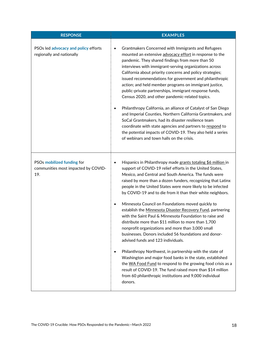| <b>RESPONSE</b>                                                          | <b>EXAMPLES</b>                                                                                                                                                                                                                                                                                                                                                                                                                                                                                                                         |
|--------------------------------------------------------------------------|-----------------------------------------------------------------------------------------------------------------------------------------------------------------------------------------------------------------------------------------------------------------------------------------------------------------------------------------------------------------------------------------------------------------------------------------------------------------------------------------------------------------------------------------|
| PSOs led advocacy and policy efforts<br>regionally and nationally        | Grantmakers Concerned with Immigrants and Refugees<br>$\bullet$<br>mounted an extensive advocacy effort in response to the<br>pandemic. They shared findings from more than 50<br>interviews with immigrant-serving organizations across<br>California about priority concerns and policy strategies;<br>issued recommendations for government and philanthropic<br>action; and held member programs on immigrant justice,<br>public-private partnerships, immigrant response funds,<br>Census 2020, and other pandemic-related topics. |
|                                                                          | Philanthropy California, an alliance of Catalyst of San Diego<br>٠<br>and Imperial Counties, Northern California Grantmakers, and<br>SoCal Grantmakers, had its disaster resilience team<br>coordinate with state agencies and partners to respond to<br>the potential impacts of COVID-19. They also held a series<br>of webinars and town halls on the crisis.                                                                                                                                                                        |
| PSOs mobilized funding for<br>communities most impacted by COVID-<br>19. | Hispanics in Philanthropy made grants totaling \$6 million in<br>$\bullet$<br>support of COVID-19 relief efforts in the United States,<br>Mexico, and Central and South America. The funds were<br>raised by more than a dozen funders, recognizing that Latinx<br>people in the United States were more likely to be infected<br>by COVID-19 and to die from it than their white neighbors.<br>Minnesota Council on Foundations moved quickly to<br>$\bullet$                                                                          |
|                                                                          | establish the Minnesota Disaster Recovery Fund, partnering<br>with the Saint Paul & Minnesota Foundation to raise and<br>distribute more than \$11 million to more than 1,700<br>nonprofit organizations and more than 3,000 small<br>businesses. Donors included 56 foundations and donor-<br>advised funds and 123 individuals.                                                                                                                                                                                                       |
|                                                                          | Philanthropy Northwest, in partnership with the state of<br>$\bullet$<br>Washington and major food banks in the state, established<br>the WA Food Fund to respond to the growing food crisis as a<br>result of COVID-19. The fund raised more than \$14 million<br>from 60 philanthropic institutions and 9,000 individual<br>donors.                                                                                                                                                                                                   |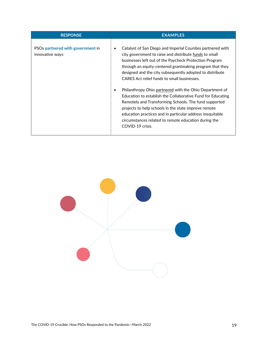| <b>RESPONSE</b>                                      | <b>EXAMPLES</b>                                                                                                                                                                                                                                                                                                                                                                                                                                                                                                                                                                                                                                                                                                                           |
|------------------------------------------------------|-------------------------------------------------------------------------------------------------------------------------------------------------------------------------------------------------------------------------------------------------------------------------------------------------------------------------------------------------------------------------------------------------------------------------------------------------------------------------------------------------------------------------------------------------------------------------------------------------------------------------------------------------------------------------------------------------------------------------------------------|
| PSOs partnered with government in<br>innovative ways | Catalyst of San Diego and Imperial Counties partnered with<br>city government to raise and distribute funds to small<br>businesses left out of the Paycheck Protection Program<br>through an equity-centered grantmaking program that they<br>designed and the city subsequently adopted to distribute<br>CARES Act relief funds to small businesses.<br>Philanthropy Ohio partnered with the Ohio Department of<br>Education to establish the Collaborative Fund for Educating<br>Remotely and Transforming Schools. The fund supported<br>projects to help schools in the state improve remote<br>education practices and in particular address inequitable<br>circumstances related to remote education during the<br>COVID-19 crisis. |

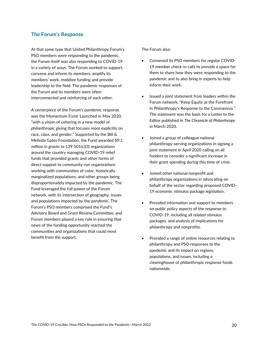### **The Forum's Response**

At that same type that United Philanthropy Forum's PSO members were responding to the pandemic, the Forum itself was also responding to COVID-19 in a variety of ways. The Forum worked to support, convene and inform its members, amplify its members' work, mobilize funding and provide leadership to the field. The pandemic responses of the Forum and its members were often interconnected and reinforcing of each other.

A centerpiece of the Forum's pandemic response was the Momentum Fund. Launched in May 2020, "with a vision of ushering in a new model of philanthropic giving that focuses more explicitly on race, class, and gender." Supported by the Bill & Melinda Gates Foundation, the Fund awarded \$9.1 million in grants to 139 501(c)(3) organizations around the country managing COVID-19 relief funds that provided grants and other forms of direct support to community-run organizations working with communities of color, historically marginalized populations, and other groups being disproportionately impacted by the pandemic. The Fund leveraged the full power of the Forum network, with its intersection of geography, issues and populations impacted by the pandemic. The Forum's PSO members comprised the Fund's Advisory Board and Grant Review Committee, and Forum members played a key role in ensuring that news of the funding opportunity reached the communities and organizations that could most benefit from the support.

#### The Forum also:

- Convened its PSO members for regular COVID-19 member check-in calls to provide a space for them to share how they were responding to the pandemic and to also bring in experts to help inform their work.
- Issued a joint statement from leaders within the Forum network, "Keep Equity at the Forefront in Philanthropy's Response to the Coronavirus." The statement was the basis for a Letter to the Editor published in *The Chronicle of Philanthropy* in March 2020.
- Joined a group of colleague national philanthropy-serving organizations in signing a joint statement in April 2020 calling on all funders to consider a significant increase in their grant spending during this time of crisis.
- Joined other national nonprofit and philanthropy organizations in advocating on behalf of the sector regarding proposed COVID-19 economic stimulus package legislation.
- Provided information and support to members on public policy aspects of the response to COVID-19, including all related stimulus packages, and analysis of implications for philanthropy and nonprofits.
- Provided a range of online resources relating to philanthropy and PSO responses to the pandemic and its impact on regions, populations, and issues, including a clearinghouse of philanthropic response funds nationwide.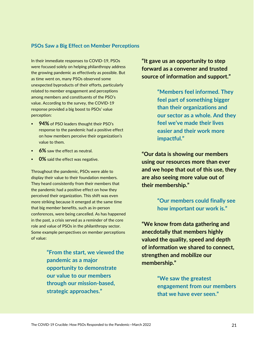### **PSOs Saw a Big Effect on Member Perceptions**

In their immediate responses to COVID-19, PSOs were focused solely on helping philanthropy address the growing pandemic as effectively as possible. But as time went on, many PSOs observed some unexpected byproducts of their efforts, particularly related to member engagement and perceptions among members and constituents of the PSO's value. According to the survey, the COVID-19 response provided a big boost to PSOs' value perception:

- **94%** of PSO leaders thought their PSO's response to the pandemic had a positive effect on how members perceive their organization's value to them.
- **6%** saw the effect as neutral.
- **0%** said the effect was negative.

Throughout the pandemic, PSOs were able to display their value to their foundation members. They heard consistently from their members that the pandemic had a positive effect on how they perceived their organization. This shift was even more striking because it emerged at the same time that big member benefits, such as in-person conferences, were being cancelled. As has happened in the past, a crisis served as a reminder of the core role and value of PSOs in the philanthropy sector. Some example perspectives on member perceptions of value:

> **"From the start, we viewed the pandemic as a major opportunity to demonstrate our value to our members through our mission-based, strategic approaches."**

**"It gave us an opportunity to step forward as a convener and trusted source of information and support."**

> **"Members feel informed. They feel part of something bigger than their organizations and our sector as a whole. And they feel we've made their lives easier and their work more impactful."**

**"Our data is showing our members using our resources more than ever and we hope that out of this use, they are also seeing more value out of their membership."**

> **"Our members could finally see how important our work is."**

**"We know from data gathering and anecdotally that members highly valued the quality, speed and depth of information we shared to connect, strengthen and mobilize our membership."**

> **"We saw the greatest engagement from our members that we have ever seen."**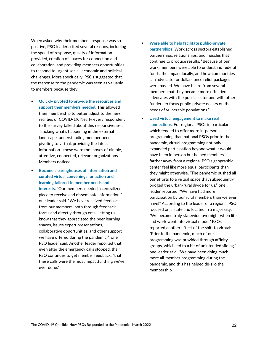When asked why their members' response was so positive, PSO leaders cited several reasons, including the speed of response, quality of information provided, creation of spaces for connection and collaboration, and providing members opportunities to respond to urgent social, economic and political challenges. More specifically, PSOs suggested that the response to the pandemic was seen as valuable to members because they…

- **Quickly pivoted to provide the resources and support their members needed.** This allowed their membership to better adjust to the new realities of COVID-19. Nearly every respondent to the survey talked about this responsiveness. Tracking what's happening in the external landscape, understanding member needs, pivoting to virtual, providing the latest information—these were the moves of nimble, attentive, connected, relevant organizations. Members noticed.
- **Became clearinghouses of information and curated virtual convenings for action and learning tailored to member needs and interests.** "Our members needed a centralized place to receive and disseminate information," one leader said. "We have received feedback from our members, both through feedback forms and directly through email letting us know that they appreciated the peer learning spaces, issues expert presentations, collaborative opportunities, and other support we have offered during the pandemic," one PSO leader said. Another leader reported that, even after the emergency calls stopped, their PSO continues to get member feedback, "that these calls were the most impactful thing we've ever done."
- **Were able to help facilitate public-private partnerships.** Work across sectors established partnerships, relationships, and muscles that continue to produce results. "Because of our work, members were able to understand federal funds, the impact locally, and how communities can advocate for dollars once relief packages were passed. We have heard from several members that they became more effective advocates with the public sector and with other funders to focus public-private dollars on the needs of vulnerable populations."
- **Used virtual engagement to make real connections.** For regional PSOs in particular, which tended to offer more in-person programming than national PSOs prior to the pandemic, virtual programming not only expanded participation beyond what it would have been in person but helped members farther away from a regional PSO's geographic center feel like more equal participants than they might otherwise. "The pandemic pushed all our efforts to a virtual space that subsequently bridged the urban/rural divide for us," one leader reported. "We have had more participation by our rural members than we ever have!" According to the leader of a regional PSO focused on a state and located in a major city, "We became truly statewide overnight when life and work went into virtual mode." PSOs reported another effect of the shift to virtual: "Prior to the pandemic, much of our programming was provided through affinity groups, which led to a bit of unintended siloing," one leader said. "We have been doing much more all-member programming during the pandemic, and this has helped de-silo the membership."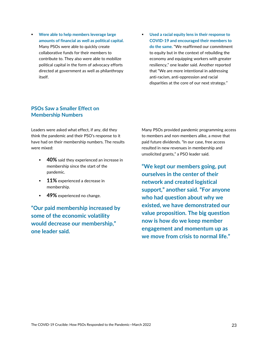- **Were able to help members leverage large amounts of financial as well as political capital.** Many PSOs were able to quickly create collaborative funds for their members to contribute to. They also were able to mobilize political capital in the form of advocacy efforts directed at government as well as philanthropy itself.
- **Used a racial equity lens in their response to COVID-19 and encouraged their members to do the same.** "We reaffirmed our commitment to equity but in the context of rebuilding the economy and equipping workers with greater resiliency," one leader said. Another reported that "We are more intentional in addressing anti-racism, anti-oppression and racial disparities at the core of our next strategy."

### **PSOs Saw a Smaller Effect on Membership Numbers**

Leaders were asked what effect, if any, did they think the pandemic and their PSO's response to it have had on their membership numbers. The results were mixed:

- **40%** said they experienced an increase in membership since the start of the pandemic.
- **11%** experienced a decrease in membership.
- **49%** experienced no change.

**"Our paid membership increased by some of the economic volatility would decrease our membership," one leader said.**

Many PSOs provided pandemic programming access to members and non-members alike, a move that paid future dividends. "In our case, free access resulted in new revenues in membership and unsolicited grants," a PSO leader said.

**"We kept our members going, put ourselves in the center of their network and created logistical support," another said. "For anyone who had question about why we existed, we have demonstrated our value proposition. The big question now is how do we keep member engagement and momentum up as we move from crisis to normal life."**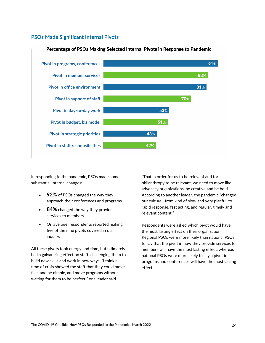### **PSOs Made Significant Internal Pivots**



In responding to the pandemic, PSOs made some substantial Internal changes:

- **92%** of PSOs changed the way they approach their conferences and programs.
- **84%** changed the way they provide services to members.
- On average, respondents reported making five of the nine pivots covered in our inquiry.

All these pivots took energy and time, but ultimately had a galvanizing effect on staff, challenging them to build new skills and work in new ways. "I think a time of crisis showed the staff that they could move fast, and be nimble, and move programs without waiting for them to be perfect," one leader said.

"That in order for us to be relevant and for philanthropy to be relevant, we need to move like advocacy organizations, be creative and be bold." According to another leader, the pandemic "changed our culture—from kind of slow and very planful, to rapid response, fast acting, and regular, timely and relevant content."

Respondents were asked which pivot would have the most lasting effect on their organization. Regional PSOs were more likely than national PSOs to say that the pivot in how they provide services to members will have the most lasting effect, whereas national PSOs were more likely to say a pivot in programs and conferences will have the most lasting effect.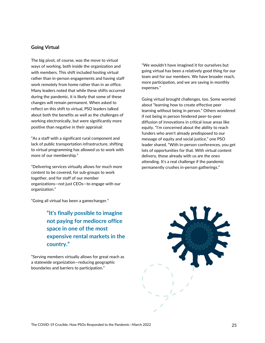### **Going Virtual**

The big pivot, of course, was the move to virtual ways of working, both inside the organization and with members. This shift included hosting virtual rather than in-person engagements and having staff work remotely from home rather than in an office. Many leaders noted that while these shifts occurred during the pandemic, it is likely that some of these changes will remain permanent. When asked to reflect on this shift to virtual, PSO leaders talked about both the benefits as well as the challenges of working electronically, but were significantly more positive than negative in their appraisal:

"As a staff with a significant rural component and lack of public transportation infrastructure, shifting to virtual programming has allowed us to work with more of our membership."

"Delivering services virtually allows for much more content to be covered, for sub-groups to work together, and for staff of our member organizations—not just CEOs—to engage with our organization."

"Going all virtual has been a gamechanger."

**"It's finally possible to imagine not paying for mediocre office space in one of the most expensive rental markets in the country."**

"Serving members virtually allows for great reach as a statewide organization—reducing geographic boundaries and barriers to participation."

"We wouldn't have imagined it for ourselves but going virtual has been a relatively good thing for our team and for our members. We have broader reach, more participation, and we are saving in monthly expenses."

Going virtual brought challenges, too. Some worried about "learning how to create effective peer learning without being in person." Others wondered if not being in person hindered peer-to-peer diffusion of innovations in critical issue areas like equity. "I'm concerned about the ability to reach funders who aren't already predisposed to our message of equity and social justice," one PSO leader shared. "With in-person conferences, you get lots of opportunities for that. With virtual content delivery, those already with us are the ones attending. It's a real challenge if the pandemic permanently crushes in-person gatherings."

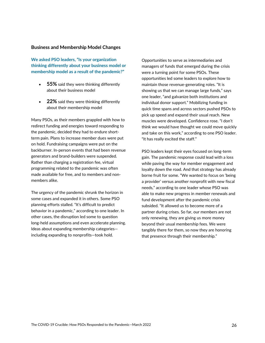### **Business and Membership Model Changes**

**We asked PSO leaders, "Is your organization thinking differently about your business model or membership model as a result of the pandemic?"**

- **55%** said they were thinking differently about their business model
- **22%** said they were thinking differently about their membership model

Many PSOs, as their members grappled with how to redirect funding and energies toward responding to the pandemic, decided they had to endure shortterm pain. Plans to increase member dues were put on hold. Fundraising campaigns were put on the backburner. In-person events that had been revenue generators and brand-builders were suspended. Rather than charging a registration fee, virtual programming related to the pandemic was often made available for free, and to members and nonmembers alike.

The urgency of the pandemic shrunk the horizon in some cases and expanded it in others. Some PSO planning efforts stalled. "It's difficult to predict behavior in a pandemic," according to one leader. In other cases, the disruption led some to question long-held assumptions and even accelerate planning. Ideas about expanding membership categories including expanding to nonprofits—took hold.

Opportunities to serve as intermediaries and managers of funds that emerged during the crisis were a turning point for some PSOs. These opportunities led some leaders to explore how to maintain those revenue-generating roles. "It is showing us that we can manage large funds," says one leader, "and galvanize both institutions and individual donor support." Mobilizing funding in quick time spans and across sectors pushed PSOs to pick up speed and expand their usual reach. New muscles were developed. Confidence rose. "I don't think we would have thought we could move quickly and take on this work," according to one PSO leader. "It has really excited the staff."

PSO leaders kept their eyes focused on long-term gain. The pandemic response could lead with a loss while paving the way for member engagement and loyalty down the road. And that strategy has already borne fruit for some. "We wanted to focus on 'being a provider' versus another nonprofit with new fiscal needs," according to one leader whose PSO was able to make new progress in member renewals and fund development after the pandemic crisis subsided. "It allowed us to become more of a partner during crises. So far, our members are not only renewing, they are giving us more money beyond their usual membership fees. We were tangibly there for them, so now they are honoring that presence through their membership."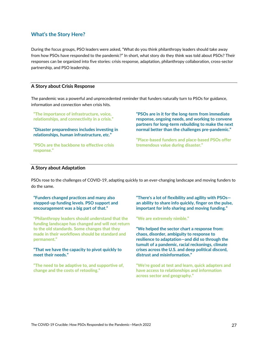### **What's the Story Here?**

During the focus groups, PSO leaders were asked, "What do you think philanthropy leaders should take away from how PSOs have responded to the pandemic?" In short, what story do they think was told about PSOs? Their responses can be organized into five stories: crisis response, adaptation, philanthropy collaboration, cross-sector partnership, and PSO leadership.

### **A Story about Crisis Response**

The pandemic was a powerful and unprecedented reminder that funders naturally turn to PSOs for guidance, information and connection when crisis hits.

**"The importance of infrastructure, voice, relationships, and connectivity in a crisis."**

**"Disaster preparedness includes investing in relationships, human infrastructure, etc."**

**"PSOs are the backbone to effective crisis response."**

**"PSOs are in it for the long-term from immediate response, ongoing needs, and working to convene partners for long-term rebuilding to make the next normal better than the challenges pre-pandemic."**

**"Place-based funders and place-based PSOs offer tremendous value during disaster."**

### **A Story about Adaptation**

PSOs rose to the challenges of COVID-19, adapting quickly to an ever-changing landscape and moving funders to do the same.

**"Funders changed practices and many also stepped-up funding levels. PSO support and encouragement was a big part of that."**

**"Philanthropy leaders should understand that the funding landscape has changed and will not return to the old standards. Some changes that they made in their workflows should be standard and permanent."**

### **"That we have the capacity to pivot quickly to meet their needs."**

**"The need to be adaptive to, and supportive of, change and the costs of retooling."**

**"There's a lot of flexibility and agility with PSOs an ability to share info quickly, finger on the pulse, important for info sharing and moving funding."**

#### **"We are extremely nimble."**

**"We helped the sector chart a response from: chaos, disorder, ambiguity to response to resilience to adaptation—and did so through the tumult of a pandemic, racial reckonings, climate crises across the U.S. and deep political discord, distrust and misinformation."**

**"We're good at test and learn, quick adapters and have access to relationships and information across sector and geography."**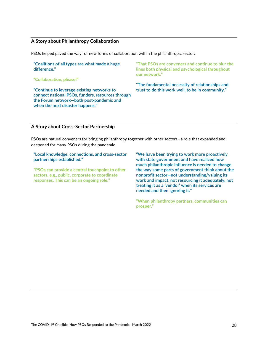### **A Story about Philanthropy Collaboration**

PSOs helped paved the way for new forms of collaboration within the philanthropic sector.

**"Coalitions of all types are what made a huge difference."**

**"Collaboration, please!"**

**"Continue to leverage existing networks to connect national PSOs, funders, resources through the Forum network—both post-pandemic and when the next disaster happens."**

**"That PSOs are conveners and continue to blur the lines both physical and psychological throughout our network."**

**"The fundamental necessity of relationships and trust to do this work well, to be in community."**

### **A Story about Cross-Sector Partnership**

PSOs are natural conveners for bringing philanthropy together with other sectors—a role that expanded and deepened for many PSOs during the pandemic.

**"Local knowledge, connections, and cross-sector partnerships established."**

**"PSOs can provide a central touchpoint to other sectors, e.g., public, corporate to coordinate responses. This can be an ongoing role."**

**"We have been trying to work more proactively with state government and have realized how much philanthropic influence is needed to change the way some parts of government think about the nonprofit sector—not understanding/valuing its work and impact, not resourcing it adequately, not treating it as a 'vendor' when its services are needed and then ignoring it."**

**"When philanthropy partners, communities can prosper."**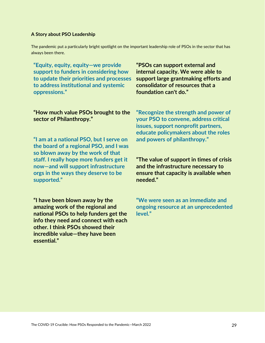### **A Story about PSO Leadership**

The pandemic put a particularly bright spotlight on the important leadership role of PSOs in the sector that has always been there.

**"Equity, equity, equity—we provide support to funders in considering how to update their priorities and processes to address institutional and systemic oppressions."**

**"PSOs can support external and internal capacity. We were able to support large grantmaking efforts and consolidator of resources that a foundation can't do."**

### **"How much value PSOs brought to the sector of Philanthropy."**

**"I am at a national PSO, but I serve on the board of a regional PSO, and I was so blown away by the work of that staff. I really hope more funders get it now—and will support infrastructure orgs in the ways they deserve to be supported."**

**"I have been blown away by the amazing work of the regional and national PSOs to help funders get the info they need and connect with each other. I think PSOs showed their incredible value—they have been essential."**

**"Recognize the strength and power of your PSO to convene, address critical issues, support nonprofit partners, educate policymakers about the roles and powers of philanthropy."**

### **"The value of support in times of crisis and the infrastructure necessary to ensure that capacity is available when needed."**

**"We were seen as an immediate and ongoing resource at an unprecedented level."**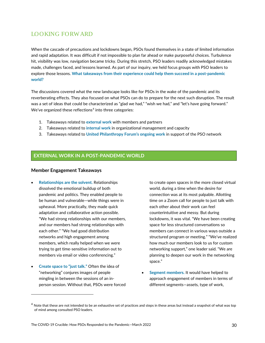### LOOKING FORWARD

When the cascade of precautions and lockdowns began, PSOs found themselves in a state of limited information and rapid adaptation. It was difficult if not impossible to plan far ahead or make purposeful choices. Turbulence hit, visibility was low, navigation became tricky. During this stretch, PSO leaders readily acknowledged mistakes made, challenges faced, and lessons learned. As part of our inquiry, we held focus groups with PSO leaders to explore those lessons. **What takeaways from their experience could help them succeed in a post-pandemic world?**

The discussions covered what the new landscape looks like for PSOs in the wake of the pandemic and its reverberating effects. They also focused on what PSOs can do to prepare for the next such disruption. The result was a set of ideas that could be characterized as "glad we had," "wish we had," and "let's have going forward." We've organized these reflections<sup>[4](#page-29-0)</sup> into three categories:

- 1. Takeaways related to **external work** with members and partners
- 2. Takeaways related to **internal work** in organizational management and capacity
- 3. Takeaways related to **United Philanthropy Forum's ongoing work** in support of the PSO network

### **EXTERNAL WORK IN A POST-PANDEMIC WORLD**

#### **Member Engagement Takeaways**

- **Relationships are the solvent.** Relationships dissolved the emotional buildup of both pandemic and politics. They enabled people to be human and vulnerable—while things were in upheaval. More practically, they made quick adaptation and collaborative action possible. "We had strong relationships with our members, and our members had strong relationships with each other." "We had good distribution networks and high engagement among members, which really helped when we were trying to get time-sensitive information out to members via email or video conferencing."
- **Create space to "just talk."** Often the idea of "networking" conjures images of people mingling in between the sessions of an inperson session. Without that, PSOs were forced

to create open spaces in the more closed virtual world, during a time when the desire for connection was at its most palpable. Allotting time on a Zoom call for people to just talk with each other about their work can feel counterintuitive and messy. But during lockdowns, it was vital. "We have been creating space for less structured conversations so members can connect in various ways outside a structured program or meeting." "We've realized how much our members look to us for custom networking support," one leader said. "We are planning to deepen our work in the networking space."

• **Segment members.** It would have helped to approach engagement of members in terms of different segments—assets, type of work,

<span id="page-29-0"></span> $<sup>4</sup>$  Note that these are not intended to be an exhaustive set of practices and steps in these areas but instead a snapshot of what was top</sup> of mind among consulted PSO leaders.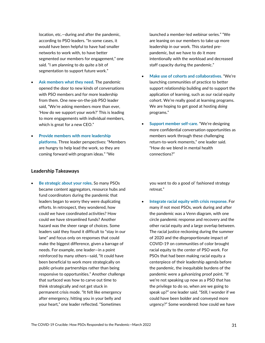location, etc.—during and after the pandemic, according to PSO leaders. "In some cases, it would have been helpful to have had smaller networks to work with, to have better segmented our members for engagement," one said. "I am planning to do quite a bit of segmentation to support future work."

- **Ask members what they need.** The pandemic opened the door to new kinds of conversations with PSO members and for more leadership from them. One new-on-the-job PSO leader said, "We're asking members more than ever, 'How do we support your work?' This is leading to more engagements with individual members, which is great for a new CEO."
- **Provide members with more leadership platforms.** Three leader perspectives: "Members are hungry to help lead the work, so they are coming forward with program ideas." "We

#### **Leadership Takeaways**

• **Be strategic about your roles.** So many PSOs became content aggregators, resource hubs and fund coordinators during the pandemic that leaders began to worry they were duplicating efforts. In retrospect, they wondered, how could we have coordinated activities? How could we have streamlined funds? Another hazard was the sheer range of choices. Some leaders said they found it difficult to "stay in our lane" and focus only on responses that could make the biggest difference, given a barrage of needs. For example, one leader—in a point reinforced by many others—said, "It could have been beneficial to work more strategically on public-private partnerships rather than being responsive to opportunities." Another challenge that surfaced was how to carve out time to think strategically and not get stuck in permanent crisis mode. "It felt like emergency after emergency, hitting you in your belly and your heart," one leader reflected. "Sometimes

launched a member-led webinar series." "We are leaning on our members to take up more leadership in our work. This started prepandemic, but we have to do it more intentionally with the workload and decreased staff capacity during the pandemic."

- **Make use of cohorts and collaboratives.** "We're launching communities of practice to better support relationship building *and* to support the application of learning, such as our racial equity cohort. We're really good at learning programs. We are hoping to get good at hosting *doing*  programs."
- **Support member self-care.** "We're designing more confidential conversation opportunities as members work through these challenging return-to-work moments," one leader said. "How do we blend in mental health connections?"

you want to do a good ol' fashioned strategy retreat."

• **Integrate racial equity with crisis response.** For many if not most PSOs, work during and after the pandemic was a Venn diagram, with one circle pandemic response and recovery and the other racial equity and a large overlap between. The racial justice reckoning during the summer of 2020 and the disproportionate impact of COVID-19 on communities of color brought racial equity to the center of PSO work. For PSOs that had been making racial equity a centerpiece of their leadership agenda before the pandemic, the inequitable burdens of the pandemic were a galvanizing proof point. "If we're not speaking up now as a PSO that has the privilege to do so, when are we going to speak up?" one leader said. "Still, I wonder if we could have been bolder and conveyed more urgency?" Some wondered: how could we have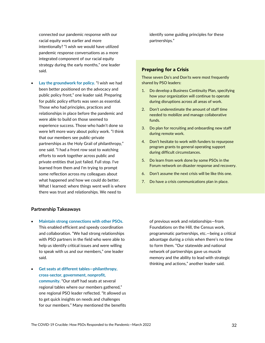connected our pandemic response with our racial equity work earlier and more intentionally? "I wish we would have utilized pandemic response conversations as a more integrated component of our racial equity strategy during the early months," one leader said.

• **Lay the groundwork for policy.** "I wish we had been better positioned on the advocacy and public policy front," one leader said. Preparing for public policy efforts was seen as essential. Those who had principles, practices and relationships in place before the pandemic and were able to build on those seemed to experience success. Those who hadn't done so were left more wary about policy work. "I think that our members see public-private partnerships as the Holy Grail of philanthropy," one said. "I had a front row seat to watching efforts to work together across public and private entities that just failed. Full stop. I've learned from them and I'm trying to prompt some reflection across my colleagues about what happened and how we could do better. What I learned: where things went well is where there was trust and relationships. We need to

#### **Partnership Takeaways**

- **Maintain strong connections with other PSOs.** This enabled efficient and speedy coordination and collaboration. "We had strong relationships with PSO partners in the field who were able to help us identify critical issues and were willing to speak with us and our members," one leader said.
- **Get seats at different tables—philanthropy, cross-sector, government, nonprofit, community.** "Our staff had seats at several regional tables where our members gathered," one regional PSO leader reflected. "It allowed us to get quick insights on needs and challenges for our members." Many mentioned the benefits

identify some guiding principles for these partnerships."

#### **Preparing for a Crisis**

These seven Do's and Don'ts were most frequently shared by PSO leaders:

- 1. Do develop a Business Continuity Plan, specifying how your organization will continue to operate during disruptions across all areas of work.
- 2. Don't underestimate the amount of staff time needed to mobilize and manage collaborative funds.
- 3. Do plan for recruiting and onboarding new staff during remote work.
- 4. Don't hesitate to work with funders to repurpose program grants to general operating support during difficult circumstances.
- 5. Do learn from work done by some PSOs in the Forum network on disaster response and recovery.
- 6. Don't assume the next crisis will be like this one.
- 7. Do have a crisis communications plan in place.

of previous work and relationships—from Foundations on the Hill, the Census work, programmatic partnerships, etc.—being a critical advantage during a crisis when there's no time to form them. "Our statewide and national network of partnerships gave us muscle memory and the ability to lead with strategic thinking and actions," another leader said.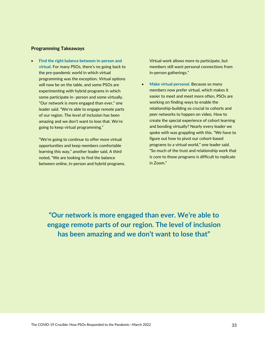### **Programming Takeaways**

• **Find the right balance between in-person and virtual.** For many PSOs, there's no going back to the pre-pandemic world in which virtual programming was the exception. Virtual options will now be on the table, and some PSOs are experimenting with hybrid programs in which some participate in- person and some virtually. "Our network is more engaged than ever," one leader said. "We're able to engage remote parts of our region. The level of inclusion has been amazing and we don't want to lose that. We're going to keep virtual programming."

"We're going to continue to offer more virtual opportunities and keep members comfortable learning this way," another leader said. A third noted, "We are looking to find the balance between online, in-person and hybrid programs. Virtual work allows more to participate, but members still want personal connections from in-person gatherings."

• **Make virtual personal.** Because so many members now prefer virtual, which makes it easier to meet and meet more often, PSOs are working on finding ways to enable the relationship-building so crucial to cohorts and peer networks to happen on video. How to create the special experience of cohort learning and bonding virtually? Nearly every leader we spoke with was grappling with this. "We have to figure out how to pivot our cohort-based programs to a virtual world," one leader said. "So much of the trust and relationship work that is core to those programs is difficult to replicate in Zoom."

**"Our network is more engaged than ever. We're able to engage remote parts of our region. The level of inclusion has been amazing and we don't want to lose that"**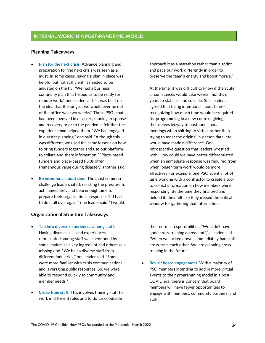### **Planning Takeaways**

- **Plan for the next crisis.** Advance planning and preparation for the next crisis was seen as a must. In some cases, having a plan in place was helpful but not sufficient. It needed to be adjusted on the fly. "We had a business continuity plan that helped us to be ready for remote work," one leader said. "It was built on the idea that the longest we would ever be out of the office was two weeks!" Those PSOs that had been involved in disaster planning, response and recovery prior to the pandemic felt that the experience had helped them. "We had engaged in disaster planning," one said. "Although this was different, we used the same lessons on how to bring funders together and use our platform to collate and share information." "Place-based funders and place-based PSOs offer tremendous value during disaster," another said.
- **Be intentional about time.** The most common challenge leaders cited: resisting the pressure to act immediately and take enough time to prepare their organization's response. "If I had to do it all over again," one leader said, "I would

### **Organizational Structure Takeaways**

- **Tap into diverse experiences among staff.** Having diverse skills and experiences represented among staff was mentioned by some leaders as a key ingredient and others as a missing one. "We had a diverse staff from different industries," one leader said. "Some were more familiar with crisis communications and leveraging public resources. So, we were able to respond quickly to community and member needs."
- **Cross-train staff.** This involves training staff to work in different roles and to do tasks outside

approach it as a marathon rather than a sprint and pace our work differently in order to preserve the team's energy and boost morale."

At the time, it was difficult to know if the acute circumstances would take weeks, months or years to stabilize and subside. Still, leaders agreed that being intentional about time recognizing how much time would be required for programming in a new context, giving themselves leeway to postpone annual meetings when shifting to virtual rather than trying to meet the original in-person date, etc. would have made a difference. One retrospective question that leaders wrestled with: How could we have better differentiated when an immediate response was required from when longer-term work would be more effective? For example, one PSO spent a lot of time working with a contractor to create a tool to collect information on how members were responding. By the time they finalized and fielded it, they felt like they missed the critical window for gathering that information.

their normal responsibilities. "We didn't have good cross-training across staff," a leader said. "When we locked down, I immediately had staff cross-train each other. We are planning cross training in the future."

• **Revisit board engagement.** With a majority of PSO members intending to add in more virtual events to their programming model in a post-COVID era, there is concern that board members will have fewer opportunities to engage with members, community partners, and staff.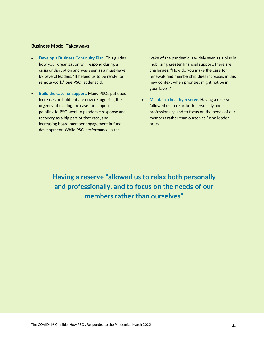### **Business Model Takeaways**

- **Develop a Business Continuity Plan.** This guides how your organization will respond during a crisis or disruption and was seen as a must-have by several leaders. "It helped us to be ready for remote work," one PSO leader said.
- **Build the case for support.** Many PSOs put dues increases on hold but are now recognizing the urgency of making the case for support, pointing to PSO work in pandemic response and recovery as a big part of that case, and increasing board member engagement in fund development. While PSO performance in the

wake of the pandemic is widely seen as a plus in mobilizing greater financial support, there are challenges. "How do you make the case for renewals and membership dues increases in this new context when priorities might not be in your favor?"

• **Maintain a healthy reserve.** Having a reserve "allowed us to relax both personally and professionally, and to focus on the needs of our members rather than ourselves," one leader noted.

**Having a reserve "allowed us to relax both personally and professionally, and to focus on the needs of our members rather than ourselves"**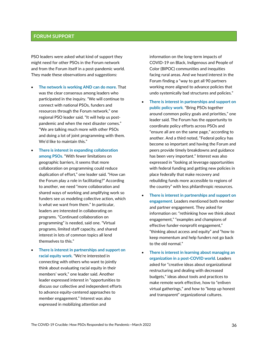### **FORUM SUPPORT**

PSO leaders were asked what kind of support they might need for other PSOs in the Forum network and from the Forum itself in a post-pandemic world. They made these observations and suggestions:

- **The network is working AND can do more.** That was the clear consensus among leaders who participated in the inquiry. "We will continue to connect with national PSOs, funders and resources through the Forum network," one regional PSO leader said. "It will help us postpandemic and when the next disaster comes." "We are talking much more with other PSOs and doing a lot of joint programming with them. We'd like to maintain this."
- **There is interest in expanding collaboration among PSOs.** "With fewer limitations on geographic barriers, it seems that more collaboration on programming could reduce duplication of effort," one leader said. "How can the Forum play a role in facilitating?" According to another, we need "more collaboration and shared ways of working and amplifying work so funders see us modeling collective action, which is what we want from them." In particular, leaders are interested in collaborating on programs. "Continued collaboration on programming" is needed, said one. "Virtual programs, limited staff capacity, and shared interest in lots of common topics all lend themselves to this."
- **There is interest in partnerships and support on racial equity work.** "We're interested in connecting with others who want to jointly think about evaluating racial equity in their members' work," one leader said. Another leader expressed interest in "opportunities to discuss our collective and independent efforts to advance equity-centered approaches to member engagement." Interest was also expressed in mobilizing attention and

information on the long-term impacts of COVID-19 on Black, Indigenous and People of Color (BIPOC) communities and inequities facing rural areas. And we heard interest in the Forum finding a "way to get all 90 partners working more aligned to advance policies that undo systemically bad structures and policies."

- **There is interest in partnerships and support on public policy work**. "Bring PSOs together around common policy goals and priorities," one leader said. The Forum has the opportunity to coordinate policy efforts across PSOs and "ensure all are on the same page," according to another. And a third noted, "Federal policy has become so important and having the Forum and peers provide timely breakdowns and guidance has been very important." Interest was also expressed in "looking at leverage opportunities with federal funding and getting new policies in place federally that make recovery and rebuilding funds more accessible to regions of the country" with less philanthropic resources.
- **There is interest in partnerships and support on engagement**. Leaders mentioned both member and partner engagement. They asked for information on: "rethinking how we think about engagement," "examples and champions of effective funder-nonprofit engagement," "thinking about access and equity" and "how to keep momentum and help funders not go back to the old normal."
- **There is interest in learning about managing an organization in a post-COVID world.** Leaders asked for "creative ideas about organizational restructuring and dealing with decreased budgets," ideas about tools and practices to make remote work effective, how to "enliven virtual gatherings," and how to "keep up honest and transparent" organizational cultures.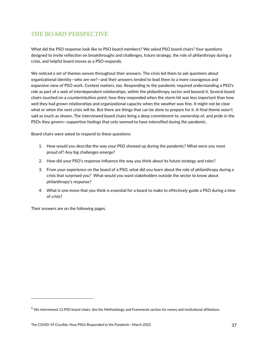### THE BOARD PERSPECTIVE

What did the PSO response look like to PSO board members? We asked PSO board chairs<sup>[5](#page-36-0)</sup> four questions designed to invite reflection on breakthroughs and challenges, future strategy, the role of philanthropy during a crisis, and helpful board moves as a PSO responds.

We noticed a set of themes woven throughout their answers. The crisis led them to ask questions about organizational identity—who are we?—and their answers tended to lead them to a more courageous and expansive view of PSO work. Context matters, too. Responding to the pandemic required understanding a PSO's role as part of a web of interdependent relationships, within the philanthropy sector and beyond it. Several board chairs touched on a counterintuitive point: how they responded when the storm hit was less important than how well they had grown relationships and organizational capacity when the weather was fine. It might not be clear what or when the next crisis will be. But there are things that can be done to prepare for it. A final theme wasn't said as much as shown. The interviewed board chairs bring a deep commitment to, ownership of, and pride in the PSOs they govern—supportive feelings that only seemed to have intensified during the pandemic.

Board chairs were asked to respond to these questions:

- 1. How would you describe the way your PSO showed up during the pandemic? What were you most proud of? Any big challenges emerge?
- 2. How did your PSO's response influence the way you think about its future strategy and roles?
- 3. From your experience on the board of a PSO, what did you learn about the role of philanthropy during a crisis that surprised you? What would you want stakeholders outside the sector to know about philanthropy's response?
- 4. What is one move that you think is essential for a board to make to effectively guide a PSO during a time of crisis?

Their answers are on the following pages.

<span id="page-36-0"></span><sup>5</sup> We interviewed 13 PSO board chairs. See the Methodology and Framework section for names and institutional affiliations.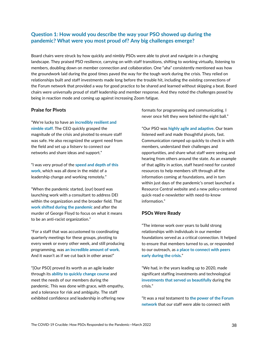### **Question 1: How would you describe the way your PSO showed up during the pandemic? What were you most proud of? Any big challenges emerge?**

Board chairs were struck by how quickly and nimbly PSOs were able to pivot and navigate in a changing landscape. They praised PSO resilience, carrying on with staff transitions, shifting to working virtually, listening to members, doubling down on member connection and collaboration. One "aha" consistently mentioned was how the groundwork laid during the good times paved the way for the tough work during the crisis. They relied on relationships built and staff investments made long before the trouble hit, including the existing connections of the Forum network that provided a way for good practice to be shared and learned without skipping a beat. Board chairs were universally proud of staff leadership and member response. And they noted the challenges posed by being in reaction mode and coming up against increasing Zoom fatigue.

### **Praise for Pivots**

"We're lucky to have an **incredibly resilient and nimble staff**. The CEO quickly grasped the magnitude of the crisis and pivoted to ensure staff was safe. He also recognized the urgent need from the field and set up a listserv to connect our networks and share ideas and support."

"I was very proud of the **speed and depth of this work**, which was all done in the midst of a leadership change and working remotely."

"When the pandemic started, (our) board was launching work with a consultant to address DEI within the organization and the broader field. That **work shifted during the pandemic** and after the murder of George Floyd to focus on what it means to be an anti-racist organization."

"For a staff that was accustomed to coordinating quarterly meetings for these groups, pivoting to every week or every other week, and still producing programming, was **an incredible amount of work**. And it wasn't as if we cut back in other areas!"

"[Our PSO] proved its worth as an agile leader through its **ability to quickly change course** and meet the needs of our members during the pandemic. This was done with grace, with empathy, and a tolerance for risk and ambiguity. The staff exhibited confidence and leadership in offering new formats for programming and communicating. I never once felt they were behind the eight ball."

"Our PSO was **highly agile and adaptive**. Our team listened well and made thoughtful pivots, fast. Communication ramped up quickly to check in with members, understand their challenges and opportunities, and share what staff were seeing and hearing from others around the state. As an example of that agility in action, staff heard need for curated resources to help members sift through all the information coming at foundations, and in turn within just days of the pandemic's onset launched a Resource Central website and a new policy-centered quick-read e-newsletter with need-to-know information."

### **PSOs Were Ready**

"The intense work over years to build strong relationships with individuals in our member foundations served as a critical connection. It helped to ensure that members turned to us, or responded to our outreach, as **a place to connect with peers early during the crisis**."

"We had, in the years leading up to 2020, made significant staffing investments and technological **investments that served us beautifully** during the crisis."

"It was a real testament to **the power of the Forum network** that our staff were able to connect with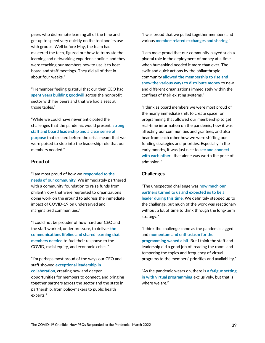peers who did remote learning all of the time and get up to speed very quickly on the tool and its use with groups. Well before May, the team had mastered the tech, figured out how to translate the learning and networking experience online, and they were teaching our members how to use it to host board and staff meetings. They did all of that in about four weeks."

"I remember feeling grateful that our then CEO had **spent years building goodwill** across the nonprofit sector with her peers and that we had a seat at those tables."

"While we could have never anticipated the challenges that the pandemic would present, **strong staff and board leadership and a clear sense of purpose** that existed before the crisis meant that we were poised to step into the leadership role that our members needed."

### **Proud of**

"I am most proud of how we **responded to the needs of our community**. We immediately partnered with a community foundation to raise funds from philanthropy that were regranted to organizations doing work on the ground to address the immediate impact of COVID-19 on underserved and marginalized communities."

"I could not be prouder of how hard our CEO and the staff worked, under pressure, to deliver **the communications lifeline and shared learning that members needed** to fuel their response to the COVID, racial equity, and economic crises."

"I'm perhaps most proud of the ways our CEO and staff showed **exceptional leadership in collaboration**, creating new and deeper opportunities for members to connect, and bringing together partners across the sector and the state in partnership, from policymakers to public health experts."

"I was proud that we pulled together members and various **member-related exchanges and sharing**."

"I am most proud that our community played such a pivotal role in the deployment of money at a time when humankind needed it more than ever. The swift and quick actions by the philanthropic community **allowed the membership to rise and show the various ways to distribute money** to new and different organizations immediately within the confines of their existing systems."

"I think as board members we were most proud of the nearly immediate shift to create space for programming that allowed our membership to get real-time information on the pandemic, how it was affecting our communities and grantees, and also hear from each other how we were shifting our funding strategies and priorities. Especially in the early months, it was just nice to **see and connect with each other**—that alone was worth the price of admission!"

### **Challenges**

"The unexpected challenge was **how much our partners turned to us and expected us to be a leader during this time**. We definitely stepped up to the challenge, but much of the work was reactionary without a lot of time to think through the long-term strategy."

"I think the challenge came as the pandemic lagged and **momentum and enthusiasm for the programming waned a bit**. But I think the staff and leadership did a good job of 'reading the room' and tempering the topics and frequency of virtual programs to the members' priorities and availability."

"As the pandemic wears on, there is **a fatigue setting in with virtual programming** exclusively, but that is where we are."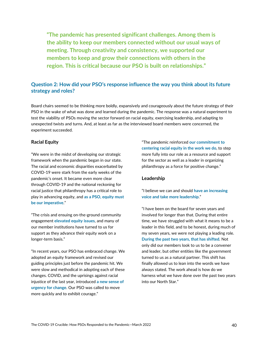**"The pandemic has presented significant challenges. Among them is the ability to keep our members connected without our usual ways of meeting. Through creativity and consistency, we supported our members to keep and grow their connections with others in the region. This is critical because our PSO is built on relationships."**

### **Question 2: How did your PSO's response influence the way you think about its future strategy and roles?**

Board chairs seemed to be thinking more boldly, expansively and courageously about the future strategy of their PSO in the wake of what was done and learned during the pandemic. The response was a natural experiment to test the viability of PSOs moving the sector forward on racial equity, exercising leadership, and adapting to unexpected twists and turns. And, at least as far as the interviewed board members were concerned, the experiment succeeded.

### **Racial Equity**

"We were in the midst of developing our strategic framework when the pandemic began in our state. The racial and economic disparities exacerbated by COVID-19 were stark from the early weeks of the pandemic's onset. It became even more clear through COVID-19 and the national reckoning for racial justice that philanthropy has a critical role to play in advancing equity, and **as a PSO, equity must be our imperative**."

"The crisis and ensuing on-the-ground community engagement **elevated equity issues**, and many of our member institutions have turned to us for support as they advance their equity work on a longer-term basis."

"In recent years, our PSO has embraced change. We adopted an equity framework and revised our guiding principles just before the pandemic hit. We were slow and methodical in adopting each of these changes. COVID, and the uprisings against racial injustice of the last year, introduced **a new sense of urgency for change**. Our PSO was called to move more quickly and to exhibit courage."

"The pandemic reinforced **our commitment to centering racial equity in the work we do**, to step more fully into our role as a resource and support for the sector as well as a leader in organizing philanthropy as a force for positive change."

### **Leadership**

"I believe we can and should **have an increasing voice and take more leadership**."

"I have been on the board for seven years and involved for longer than that. During that entire time, we have struggled with what it means to be a leader in this field, and to be honest, during much of my seven years, we were not playing a leading role. **During the past two years, that has shifted**. Not only did our members look to us to be a convener and leader, but other entities like the government turned to us as a natural partner. This shift has finally allowed us to lean into the words we have always stated. The work ahead is how do we harness what we have done over the past two years into our North Star."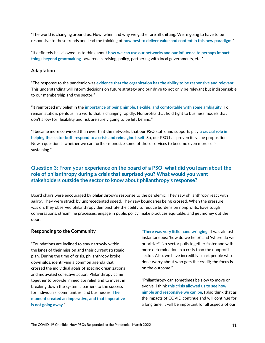"The world is changing around us. How, when and why we gather are all shifting. We're going to have to be responsive to these trends and lead the thinking of **how best to deliver value and content in this new paradigm**."

"It definitely has allowed us to think about **how we can use our networks and our influence to perhaps impact things beyond grantmaking**—awareness-raising, policy, partnering with local governments, etc."

#### **Adaptation**

"The response to the pandemic was **evidence that the organization has the ability to be responsive and relevant**. This understanding will inform decisions on future strategy and our drive to not only be relevant but indispensable to our membership and the sector."

"It reinforced my belief in the **importance of being nimble, flexible, and comfortable with some ambiguity**. To remain static is perilous in a world that is changing rapidly. Nonprofits that hold tight to business models that don't allow for flexibility and risk are surely going to be left behind."

"I became more convinced than ever that the networks that our PSO staffs and supports play **a crucial role in helping the sector both respond to a crisis and reimagine itself**. So, our PSO has proven its value proposition. Now a question is whether we can further monetize some of those services to become even more selfsustaining."

### **Question 3: From your experience on the board of a PSO, what did you learn about the role of philanthropy during a crisis that surprised you? What would you want stakeholders outside the sector to know about philanthropy's response?**

Board chairs were encouraged by philanthropy's response to the pandemic. They saw philanthropy react with agility. They were struck by unprecedented speed. They saw boundaries being crossed. When the pressure was on, they observed philanthropy demonstrate the ability to reduce burdens on nonprofits, have tough conversations, streamline processes, engage in public policy, make practices equitable, and get money out the door.

### **Responding to the Community**

"Foundations are inclined to stay narrowly within the lanes of their mission and their current strategic plan. During the time of crisis, philanthropy broke down silos, identifying a common agenda that crossed the individual goals of specific organizations and motivated collective action. Philanthropy came together to provide immediate relief and to invest in breaking down the systemic barriers to the success for individuals, communities, and businesses. **The moment created an imperative, and that imperative is not going away**."

"**There was very little hand wringing**. It was almost instantaneous: 'how do we help?' and 'where do we prioritize?' No sector pulls together faster and with more determination in a crisis than the nonprofit sector. Also, we have incredibly smart people who don't worry about who gets the credit; the focus is on the outcome."

"Philanthropy can sometimes be slow to move or evolve. I think **this crisis allowed us to see how nimble and responsive we can be**. I also think that as the impacts of COVID continue and will continue for a long time, it will be important for all aspects of our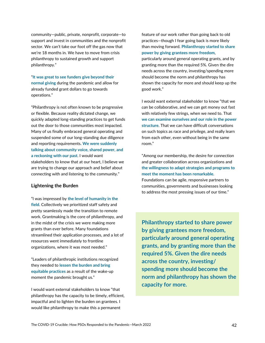community—public, private, nonprofit, corporate—to support and invest in communities and the nonprofit sector. We can't take our foot off the gas now that we're 18 months in. We have to move from crisis philanthropy to sustained growth and support philanthropy."

"**It was great to see funders give beyond their normal giving** during the pandemic and allow for already funded grant dollars to go towards operations."

"Philanthropy is not often known to be progressive or flexible. Because reality dictated change, we quickly adapted long-standing practices to get funds out the door to those communities most impacted. Many of us finally embraced general operating and suspended some of our long-standing due diligence and reporting requirements**. We were suddenly talking about community voice, shared power, and a reckoning with our past**. I would want stakeholders to know that at our heart, I believe we are trying to change our approach and belief about connecting with and listening to the community."

### **Lightening the Burden**

"I was impressed by **the level of humanity in the field**. Collectively we prioritized staff safety and pretty seamlessly made the transition to remote work. Grantmaking is the core of philanthropy, and in the midst of the crisis we were making more grants than ever before. Many foundations streamlined their application processes, and a lot of resources went immediately to frontline organizations, where it was most needed."

"Leaders of philanthropic institutions recognized they needed to **lessen the burden and bring equitable practices** as a result of the wake-up moment the pandemic brought us."

I would want external stakeholders to know "that philanthropy has the capacity to be timely, efficient, impactful and to lighten the burden on grantees. I would like philanthropy to make this a permanent

feature of our work rather than going back to old practices—though I fear going back is more likely than moving forward. **Philanthropy started to share power by giving grantees more freedom**,

particularly around general operating grants, and by granting more than the required 5%. Given the dire needs across the country, investing/spending more should become the norm and philanthropy has shown the capacity for more and should keep up the good work."

I would want external stakeholder to know "that we *can* be collaborative, and we *can* get money out fast with relatively few strings, when we need to. That **we can examine ourselves and our role in the power structure**. That we can have difficult conversations on such topics as race and privilege, and really learn from each other, even without being in the same room."

"Among our membership, the desire for connection and greater collaboration across organizations and **the willingness to adapt strategies and programs to meet the moment has been remarkable**. Foundations can be agile, responsive partners to communities, governments and businesses looking to address the most pressing issues of our time."

**Philanthropy started to share power by giving grantees more freedom, particularly around general operating grants, and by granting more than the required 5%. Given the dire needs across the country, investing/ spending more should become the norm and philanthropy has shown the capacity for more.**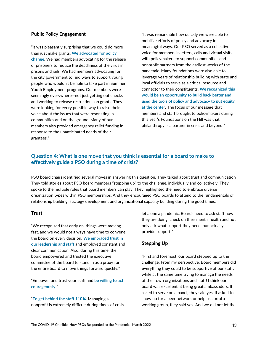### **Public Policy Engagement**

"It was pleasantly surprising that we could do more than just make grants. **We advocated for policy change**. We had members advocating for the release of prisoners to reduce the deadliness of the virus in prisons and jails. We had members advocating for the city government to find ways to support young people who wouldn't be able to take part in Summer Youth Employment programs. Our members were seemingly everywhere—not just getting out checks and working to release restrictions on grants. They were looking for every possible way to raise their voice about the issues that were resonating in communities and on the ground. Many of our members also provided emergency relief funding in response to the unanticipated needs of their grantees."

"It was remarkable how quickly we were able to mobilize efforts of policy and advocacy in meaningful ways. Our PSO served as a collective voice for members in letters, calls and virtual visits with policymakers to support communities and nonprofit partners from the earliest weeks of the pandemic. Many foundations were also able to leverage years of relationship building with state and local officials to serve as a critical resource and connector to their constituents. **We recognized this would be an opportunity to build back better and used the tools of policy and advocacy to put equity at the center**. The focus of our message that members and staff brought to policymakers during this year's Foundations on the Hill was that philanthropy is a partner in crisis and beyond."

### **Question 4: What is one move that you think is essential for a board to make to effectively guide a PSO during a time of crisis?**

PSO board chairs identified several moves in answering this question. They talked about trust and communication They told stories about PSO board members "stepping up" to the challenge, individually and collectively. They spoke to the multiple roles that board members can play. They highlighted the need to embrace diverse organization types within PSO memberships. And they encouraged PSO boards to attend to the fundamentals of relationship building, strategy development and organizational capacity building during the good times.

### **Trust**

"We recognized that early on, things were moving fast, and we would not always have time to convene the board on every decision. **We embraced trust in our leadership and staff** and employed constant and clear communication. Also, during this time, the board empowered and trusted the executive committee of the board to stand in as a proxy for the entire board to move things forward quickly."

"Empower and trust your staff and **be willing to act courageously**."

"**To get behind the staff 110%.** Managing a nonprofit is extremely difficult during times of crisis let alone a pandemic. Boards need to ask staff how they are doing, check on their mental health and not only ask what support they need, but actually provide support."

### **Stepping Up**

"First and foremost, our board stepped up to the challenge. From my perspective, Board members did everything they could to be supportive of our staff, while at the same time trying to manage the needs of their own organizations and staff! I think our board was excellent at being great ambassadors. If asked to serve on a panel, they said yes. If asked to show up for a peer network or help us corral a working group, they said yes. And we did not let the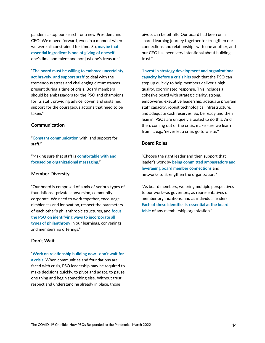pandemic stop our search for a new President and CEO! We moved forward, even in a moment when we were all constrained for time. So, **maybe that essential ingredient is one of giving of oneself** one's time and talent and not just one's treasure."

"**The board must be willing to embrace uncertainty, act bravely, and support staff** to deal with the tremendous stress and challenging circumstances present during a time of crisis. Board members should be ambassadors for the PSO and champions for its staff, providing advice, cover, and sustained support for the courageous actions that need to be taken."

### **Communication**

"**Constant communication** with, and support for, staff."

"Making sure that staff is **comfortable with and focused on organizational messaging**."

### **Member Diversity**

"Our board is comprised of a mix of various types of foundations—private, conversion, community, corporate. We need to work together, encourage nimbleness and innovation, respect the parameters of each other's philanthropic structures, and **focus the PSO on identifying ways to incorporate all types of philanthropy** in our learnings, convenings and membership offerings."

### **Don't Wait**

"**Work on relationship building now—don't wait for a crisis**. When communities and foundations are faced with crisis, PSO leadership may be required to make decisions quickly, to pivot and adapt, to pause one thing and begin something else. Without trust, respect and understanding already in place, those

pivots can be pitfalls. Our board had been on a shared learning journey together to strengthen our connections and relationships with one another, and our CEO has been very intentional about building trust."

"**Invest in strategy development and organizational capacity before a crisis hits** such that the PSO can step up quickly to help members deliver a high quality, coordinated response. This includes a cohesive board with strategic clarity, strong, empowered executive leadership, adequate program staff capacity, robust technological infrastructure, and adequate cash reserves. So, be ready and then lean in. PSOs are uniquely situated to do this. And then, coming out of the crisis, make sure we learn from it, e.g., 'never let a crisis go to waste.'"

### **Board Roles**

"Choose the right leader and then support that leader's work by **being committed ambassadors and leveraging board member connections** and networks to strengthen the organization."

"As board members, we bring multiple perspectives to our work—as governors, as representatives of member organizations, and as individual leaders. **Each of these identities is essential at the board table** of any membership organization."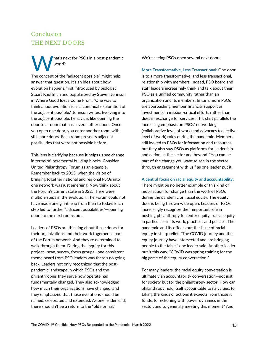## Conclusion THE NEXT DOORS

hat's next for PSOs in a post-pandemic world? The concept of the "adjacent possible" might help answer that question. It's an idea about how evolution happens, first introduced by biologist Stuart Kauffman and popularized by Steven Johnson in Where Good Ideas Come From. "One way to think about evolution is as a continual exploration of the adjacent possible," Johnson writes. Evolving into the adjacent possible, he says, is like opening the door to a room that has several other doors. Once you open one door, you enter another room with still more doors. Each room presents adjacent possibilities that were not possible before. W

This lens is clarifying because it helps us see change in terms of incremental building blocks. Consider United Philanthropy Forum as an example. Remember back to 2015, when the vision of bringing together national and regional PSOs into one network was just emerging. Now think about the Forum's current state in 2022. There were multiple steps in the evolution. The Forum could not have made one giant leap from then to today. Each step led to further "adjacent possibilities"—opening doors to the next rooms out.

Leaders of PSOs are thinking about those doors for their organizations and their work together as part of the Forum network. And they're determined to walk through them. During the inquiry for this project—scan, survey, focus groups—one consistent theme heard from PSO leaders was there's no going back. Leaders not only recognized that the postpandemic landscape in which PSOs and the philanthropies they serve now operate has fundamentally changed. They also acknowledged how much their organizations have changed, and they emphasized that those evolutions should be named, celebrated and extended. As one leader said, there shouldn't be a return to the "old normal."

We're seeing PSOs open several next doors.

**More Transformative, Less Transactional:** One door is to a more transformative, and less transactional, relationship with members. Indeed, PSO board and staff leaders increasingly think and talk about their PSO as a unified community rather than an organization and its members. In turn, more PSOs are approaching member financial support as investments in mission-critical efforts rather than dues in exchange for services. This shift parallels the increasing emphasis on PSOs' networking (collaborative level of work) and advocacy (collective level of work) roles during the pandemic. Members still looked to PSOs for information and resources, but they also saw PSOs as platforms for leadership and action, in the sector and beyond. "You can be part of the change you want to see in the sector through engagement with us," as one leader put it.

**A central focus on racial equity and accountability:** 

There might be no better example of this kind of mobilization for change than the work of PSOs during the pandemic on racial equity. The equity door is being thrown wide open. Leaders of PSOs increasingly recognize their important role in pushing philanthropy to center equity—racial equity in particular—in its work, practices and policies. The pandemic and its effects put the issue of racial equity in sharp relief. "The COVID journey and the equity journey have intersected and are bringing people to the table," one leader said. Another leader put it this way, "COVID was spring training for the big game of the equity conversation."

For many leaders, the racial equity conversation is ultimately an accountability conversation—not just for society but for the philanthropy sector. How can philanthropy hold itself accountable to its values, to taking the kinds of actions it expects from those it funds, to reckoning with power dynamics in the sector, and to generally meeting this moment? And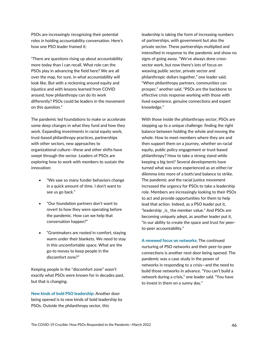PSOs are increasingly recognizing their potential roles in holding accountability conversation. Here's how one PSO leader framed it:

"There are questions rising up about accountability more today than I can recall. What role can the PSOs play in advancing the field here? We are all over the map, for sure, in what accountability will look like. But with a reckoning around equity and injustice and with lessons learned from COVID around, how philanthropy can do its work differently? PSOs could be leaders in the movement on this question."

The pandemic led foundations to make or accelerate some deep changes in what they fund and how they work. Expanding investments in racial equity work, trust-based philanthropy practices, partnerships with other sectors, new approaches to organizational culture—these and other shifts have swept through the sector. Leaders of PSOs are exploring how to work with members to sustain the innovation:

- "We saw so many funder behaviors change in a quick amount of time. I don't want to see us go back."
- "Our foundation partners don't want to revert to how they were operating before the pandemic. How can we help that conversation happen?"
- "Grantmakers are rooted in comfort, staying warm under their blankets. We need to stay in this uncomfortable space. What are the go-to moves to keep people in the discomfort zone?"

Keeping people in the "discomfort zone" wasn't exactly what PSOs were known for in decades past, but that is changing.

**New kinds of bold PSO leadership:** Another door being opened is to new kinds of bold leadership by PSOs. Outside the philanthropy sector, this

leadership is taking the form of increasing numbers of partnerships, with government but also the private sector. These partnerships multiplied and intensified in response to the pandemic and show no signs of going away. "We've always done crosssector work, but now there's lots of focus on weaving public sector, private sector and philanthropic dollars together," one leader said. "When philanthropy partners, communities can prosper," another said. "PSOs are the backbone to effective crisis response working with those with lived experience, genuine connections and expert knowledge."

With those inside the philanthropy sector, PSOs are stepping up to a unique challenge: finding the right balance between holding the whole and moving the whole. How to meet members where they are and then support them on a journey, whether on racial equity, public policy engagement or trust-based philanthropy? How to take a strong stand while keeping a big tent? Several developments have turned what was once experienced as an either/or dilemma into more of a both/and balance to strike. The pandemic and the racial justice movement increased the urgency for PSOs to take a leadership role. Members are increasingly looking to their PSOs to act and provide opportunities for them to help lead that action. Indeed, as a PSO leader put it, "leadership \_is\_ the member value." And PSOs are becoming uniquely adept, as another leader put it, "in our ability to create the space and trust for peerto-peer accountability."

**A renewed focus on networks:** The continued nurturing of PSO networks and their peer-to-peer connections is another next door being opened. The pandemic was a case study in the power of networks in responding to a crisis—and the need to build those networks in advance. "You can't build a network during a crisis," one leader said. "You have to invest in them on a sunny day."